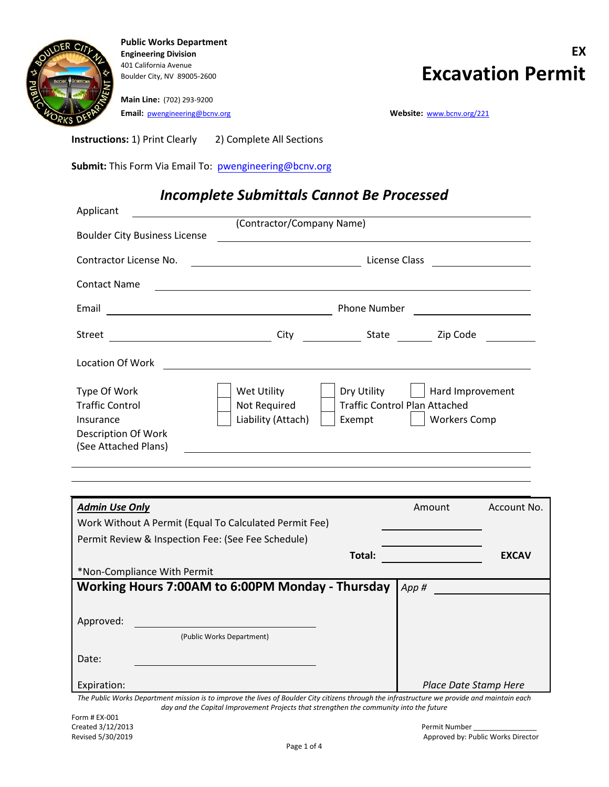

**Main Line:** (702) 293-9200 **Email:** [pwengineering@bcnv.org](mailto:pwengineering@bcnv.org) **Website:** [www.bcnv.org/221](http://www.bcnv.org/221)

**Instructions:** 1) Print Clearly 2) Complete All Sections

**Submit:** This Form Via Email To: pwengineering@bcnv.org

### *Incomplete Submittals Cannot Be Processed*

| Applicant                                                                                                 |                                                                                                               |                                                               |                                                             |                                                                                                                      |
|-----------------------------------------------------------------------------------------------------------|---------------------------------------------------------------------------------------------------------------|---------------------------------------------------------------|-------------------------------------------------------------|----------------------------------------------------------------------------------------------------------------------|
| <b>Boulder City Business License</b>                                                                      | (Contractor/Company Name)                                                                                     | <u> 1989 - Johann Stein, mars an deutscher Stein († 1989)</u> |                                                             |                                                                                                                      |
| Contractor License No.                                                                                    |                                                                                                               |                                                               | License Class                                               | <u> 1980 - Jan Barbara Barat, prima popular popular popular popular popular popular popular popular popular popu</u> |
| <b>Contact Name</b>                                                                                       |                                                                                                               |                                                               |                                                             |                                                                                                                      |
| Email                                                                                                     | Phone Number<br><u> 1980 - Andrea Station Barbara, amerikan per</u>                                           |                                                               |                                                             |                                                                                                                      |
|                                                                                                           |                                                                                                               |                                                               |                                                             |                                                                                                                      |
| Location Of Work                                                                                          | <u> 1989 - Johann Stein, mars an deus Amerikaansk kommunister (</u>                                           |                                                               |                                                             |                                                                                                                      |
| Type Of Work<br><b>Traffic Control</b><br>Insurance<br><b>Description Of Work</b><br>(See Attached Plans) | Wet Utility<br>Not Required<br>Liability (Attach)<br><u> 1989 - John Stone, amerikansk politiker (* 1989)</u> | Dry Utility<br>Exempt                                         | <b>Traffic Control Plan Attached</b><br><b>Workers Comp</b> | Hard Improvement                                                                                                     |
|                                                                                                           |                                                                                                               |                                                               |                                                             |                                                                                                                      |
| <b>Admin Use Only</b>                                                                                     |                                                                                                               |                                                               | Amount                                                      | Account No.                                                                                                          |
| Work Without A Permit (Equal To Calculated Permit Fee)                                                    |                                                                                                               |                                                               |                                                             |                                                                                                                      |
| Permit Review & Inspection Fee: (See Fee Schedule)                                                        |                                                                                                               |                                                               |                                                             |                                                                                                                      |
|                                                                                                           |                                                                                                               | Total:                                                        |                                                             | <b>EXCAV</b>                                                                                                         |
| *Non-Compliance With Permit                                                                               |                                                                                                               |                                                               |                                                             |                                                                                                                      |
| Working Hours 7:00AM to 6:00PM Monday - Thursday                                                          |                                                                                                               |                                                               | App#                                                        |                                                                                                                      |

(Public Works Department)

*The Public Works Department mission is to improve the lives of Boulder City citizens through the infrastructure we provide and maintain each day and the Capital Improvement Projects that strengthen the community into the future Place Date Stamp Here*

Expiration:

Approved:

Date: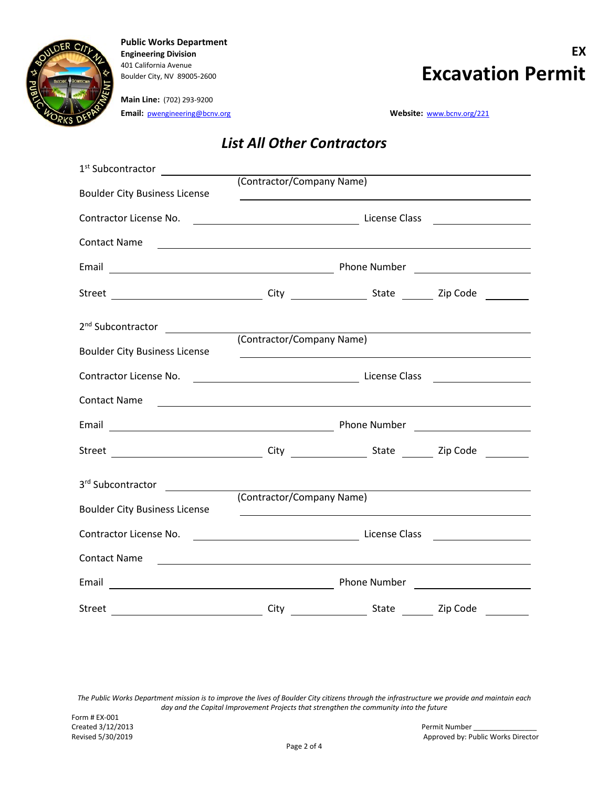

#### **Main Line:** (702) 293-9200 **Email:** [pwengineering@bcnv.org](mailto:pwengineering@bcnv.org) **Website:** [www.bcnv.org/221](http://www.bcnv.org/221)

# **Engineering Division EX AD1 California Avenue**<br>Boulder City, NV 89005-2600<br>**Excavation Permit**

### *List All Other Contractors*

| 1 <sup>st</sup> Subcontractor ______________                                                                                                                                                                                   |                           |  |  |
|--------------------------------------------------------------------------------------------------------------------------------------------------------------------------------------------------------------------------------|---------------------------|--|--|
|                                                                                                                                                                                                                                | (Contractor/Company Name) |  |  |
| <b>Boulder City Business License</b>                                                                                                                                                                                           |                           |  |  |
|                                                                                                                                                                                                                                |                           |  |  |
|                                                                                                                                                                                                                                |                           |  |  |
| Contact Name                                                                                                                                                                                                                   |                           |  |  |
|                                                                                                                                                                                                                                |                           |  |  |
|                                                                                                                                                                                                                                |                           |  |  |
|                                                                                                                                                                                                                                |                           |  |  |
|                                                                                                                                                                                                                                |                           |  |  |
| 2 <sup>nd</sup> Subcontractor _______________                                                                                                                                                                                  | (Contractor/Company Name) |  |  |
| <b>Boulder City Business License</b>                                                                                                                                                                                           |                           |  |  |
|                                                                                                                                                                                                                                |                           |  |  |
|                                                                                                                                                                                                                                |                           |  |  |
| Contact Name                                                                                                                                                                                                                   |                           |  |  |
|                                                                                                                                                                                                                                |                           |  |  |
|                                                                                                                                                                                                                                |                           |  |  |
|                                                                                                                                                                                                                                |                           |  |  |
|                                                                                                                                                                                                                                |                           |  |  |
| 3rd Subcontractor                                                                                                                                                                                                              |                           |  |  |
| <b>Boulder City Business License</b>                                                                                                                                                                                           | (Contractor/Company Name) |  |  |
|                                                                                                                                                                                                                                |                           |  |  |
| Contractor License No. 2008. 2009. [1] License Class 2008. [1] License Class 2008. [1] License Class 2008. [1] License Class 2008. [1] License Class 2008. [1] License Class 2008. [1] License Class 2008. [1] License Class 2 |                           |  |  |
| Contact Name                                                                                                                                                                                                                   |                           |  |  |
|                                                                                                                                                                                                                                |                           |  |  |
|                                                                                                                                                                                                                                |                           |  |  |
|                                                                                                                                                                                                                                |                           |  |  |

*The Public Works Department mission is to improve the lives of Boulder City citizens through the infrastructure we provide and maintain each day and the Capital Improvement Projects that strengthen the community into the future*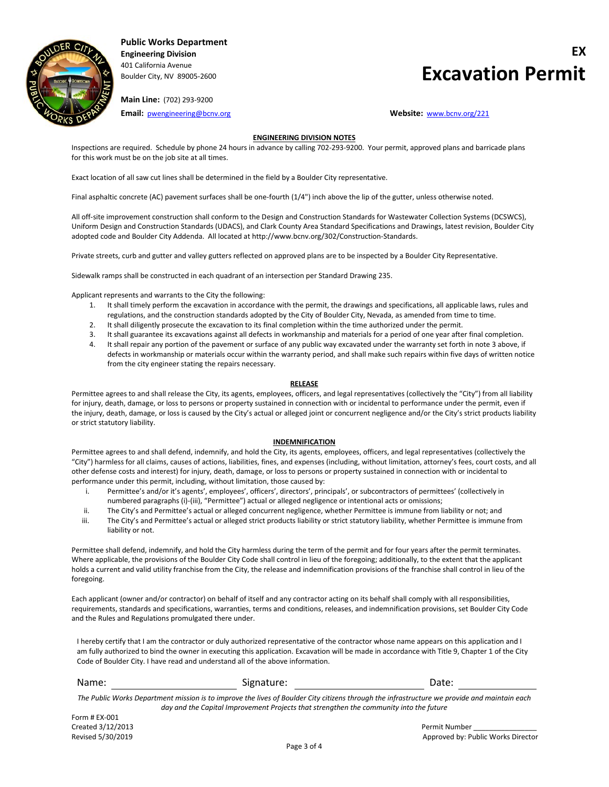

### **Engineering Division EX** Boulder City, NV 89005-2600 **Excavation Permit**

**Main Line:** (702) 293-9200

**Email:** [pwengineering@bcnv.org](mailto:pwengineering@bcnv.org) **Website:** [www.bcnv.org/221](http://www.bcnv.org/221)

#### **ENGINEERING DIVISION NOTES**

Inspections are required. Schedule by phone 24 hours in advance by calling 702-293-9200. Your permit, approved plans and barricade plans for this work must be on the job site at all times.

Exact location of all saw cut lines shall be determined in the field by a Boulder City representative.

Final asphaltic concrete (AC) pavement surfaces shall be one-fourth (1/4") inch above the lip of the gutter, unless otherwise noted.

All off-site improvement construction shall conform to the Design and Construction Standards for Wastewater Collection Systems (DCSWCS), Uniform Design and Construction Standards (UDACS), and Clark County Area Standard Specifications and Drawings, latest revision, Boulder City adopted code and Boulder City Addenda. All located at http://www.bcnv.org/302/Construction-Standards.

Private streets, curb and gutter and valley gutters reflected on approved plans are to be inspected by a Boulder City Representative.

Sidewalk ramps shall be constructed in each quadrant of an intersection per Standard Drawing 235.

Applicant represents and warrants to the City the following:

- 1. It shall timely perform the excavation in accordance with the permit, the drawings and specifications, all applicable laws, rules and regulations, and the construction standards adopted by the City of Boulder City, Nevada, as amended from time to time.
- 2. It shall diligently prosecute the excavation to its final completion within the time authorized under the permit.
- 3. It shall guarantee its excavations against all defects in workmanship and materials for a period of one year after final completion.
- 4. It shall repair any portion of the pavement or surface of any public way excavated under the warranty set forth in note 3 above, if defects in workmanship or materials occur within the warranty period, and shall make such repairs within five days of written notice from the city engineer stating the repairs necessary.

#### **RELEASE**

Permittee agrees to and shall release the City, its agents, employees, officers, and legal representatives (collectively the "City") from all liability for injury, death, damage, or loss to persons or property sustained in connection with or incidental to performance under the permit, even if the injury, death, damage, or loss is caused by the City's actual or alleged joint or concurrent negligence and/or the City's strict products liability or strict statutory liability.

#### **INDEMNIFICATION**

Permittee agrees to and shall defend, indemnify, and hold the City, its agents, employees, officers, and legal representatives (collectively the "City") harmless for all claims, causes of actions, liabilities, fines, and expenses (including, without limitation, attorney's fees, court costs, and all other defense costs and interest) for injury, death, damage, or loss to persons or property sustained in connection with or incidental to performance under this permit, including, without limitation, those caused by:

- i. Permittee's and/or it's agents', employees', officers', directors', principals', or subcontractors of permittees' (collectively in numbered paragraphs (i)-(iii), "Permittee") actual or alleged negligence or intentional acts or omissions;
- ii. The City's and Permittee's actual or alleged concurrent negligence, whether Permittee is immune from liability or not; and
- iii. The City's and Permittee's actual or alleged strict products liability or strict statutory liability, whether Permittee is immune from liability or not.

Permittee shall defend, indemnify, and hold the City harmless during the term of the permit and for four years after the permit terminates. Where applicable, the provisions of the Boulder City Code shall control in lieu of the foregoing; additionally, to the extent that the applicant holds a current and valid utility franchise from the City, the release and indemnification provisions of the franchise shall control in lieu of the foregoing.

Each applicant (owner and/or contractor) on behalf of itself and any contractor acting on its behalf shall comply with all responsibilities, requirements, standards and specifications, warranties, terms and conditions, releases, and indemnification provisions, set Boulder City Code and the Rules and Regulations promulgated there under.

I hereby certify that I am the contractor or duly authorized representative of the contractor whose name appears on this application and I am fully authorized to bind the owner in executing this application. Excavation will be made in accordance with Title 9, Chapter 1 of the City Code of Boulder City. I have read and understand all of the above information.

| Name:                                                                                                                                        | Signature: | Date:                                                                                  |  |  |  |
|----------------------------------------------------------------------------------------------------------------------------------------------|------------|----------------------------------------------------------------------------------------|--|--|--|
| The Public Works Department mission is to improve the lives of Boulder City citizens through the infrastructure we provide and maintain each |            |                                                                                        |  |  |  |
|                                                                                                                                              |            | day and the Capital Improvement Projects that strengthen the community into the future |  |  |  |

Form # EX-001 Created 3/12/2013 Permit Number  $\blacksquare$ 

Revised 5/30/2019 **Approved by: Public Works Director Approved by: Public Works Director**